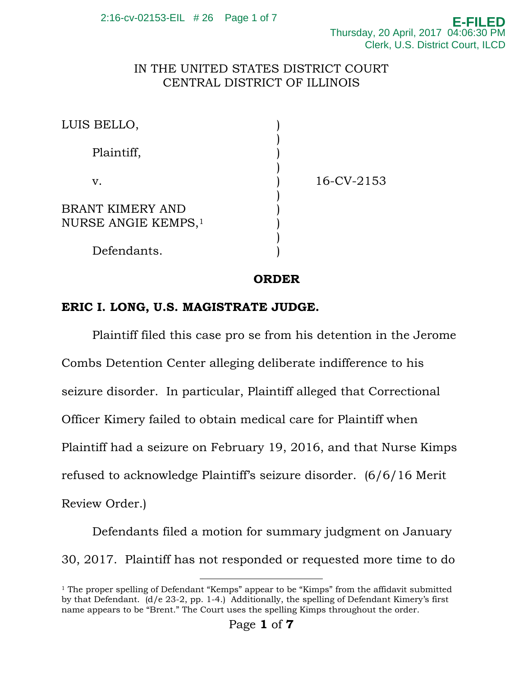## IN THE UNITED STATES DISTRICT COURT CENTRAL DISTRICT OF ILLINOIS

| LUIS BELLO,                                         |            |
|-----------------------------------------------------|------------|
| Plaintiff,                                          |            |
| v.                                                  | 16-CV-2153 |
| BRANT KIMERY AND<br>NURSE ANGIE KEMPS, <sup>1</sup> |            |
| Defendants.                                         |            |

**ORDER** 

## **ERIC I. LONG, U.S. MAGISTRATE JUDGE.**

Plaintiff filed this case pro se from his detention in the Jerome Combs Detention Center alleging deliberate indifference to his seizure disorder. In particular, Plaintiff alleged that Correctional Officer Kimery failed to obtain medical care for Plaintiff when Plaintiff had a seizure on February 19, 2016, and that Nurse Kimps refused to acknowledge Plaintiff's seizure disorder. (6/6/16 Merit Review Order.)

Defendants filed a motion for summary judgment on January 30, 2017. Plaintiff has not responded or requested more time to do

<sup>&</sup>lt;sup>1</sup> The proper spelling of Defendant "Kemps" appear to be "Kimps" from the affidavit submitted by that Defendant. (d/e 23-2, pp. 1-4.) Additionally, the spelling of Defendant Kimery's first name appears to be "Brent." The Court uses the spelling Kimps throughout the order.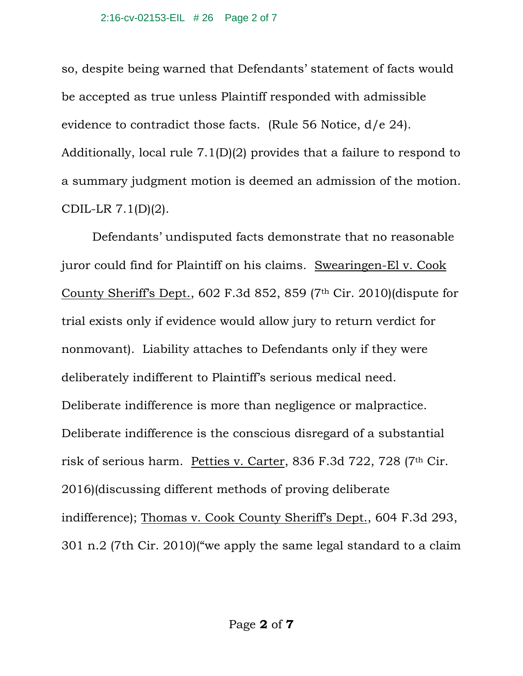so, despite being warned that Defendants' statement of facts would be accepted as true unless Plaintiff responded with admissible evidence to contradict those facts. (Rule 56 Notice, d/e 24). Additionally, local rule 7.1(D)(2) provides that a failure to respond to a summary judgment motion is deemed an admission of the motion. CDIL-LR 7.1(D)(2).

Defendants' undisputed facts demonstrate that no reasonable juror could find for Plaintiff on his claims. Swearingen-El v. Cook County Sheriff's Dept., 602 F.3d 852, 859 (7th Cir. 2010)(dispute for trial exists only if evidence would allow jury to return verdict for nonmovant). Liability attaches to Defendants only if they were deliberately indifferent to Plaintiff's serious medical need. Deliberate indifference is more than negligence or malpractice. Deliberate indifference is the conscious disregard of a substantial risk of serious harm. Petties v. Carter, 836 F.3d 722, 728 (7th Cir. 2016)(discussing different methods of proving deliberate indifference); Thomas v. Cook County Sheriff's Dept., 604 F.3d 293, 301 n.2 (7th Cir. 2010)("we apply the same legal standard to a claim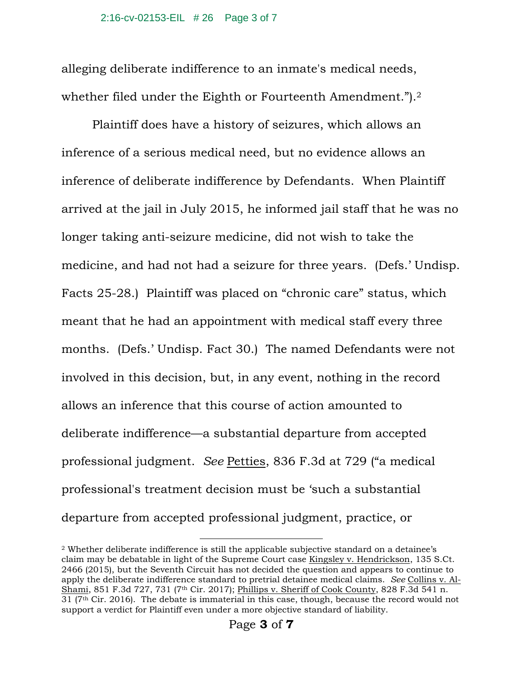alleging deliberate indifference to an inmate's medical needs, whether filed under the Eighth or Fourteenth Amendment.").<sup>2</sup>

Plaintiff does have a history of seizures, which allows an inference of a serious medical need, but no evidence allows an inference of deliberate indifference by Defendants. When Plaintiff arrived at the jail in July 2015, he informed jail staff that he was no longer taking anti-seizure medicine, did not wish to take the medicine, and had not had a seizure for three years. (Defs.' Undisp. Facts 25-28.) Plaintiff was placed on "chronic care" status, which meant that he had an appointment with medical staff every three months. (Defs.' Undisp. Fact 30.) The named Defendants were not involved in this decision, but, in any event, nothing in the record allows an inference that this course of action amounted to deliberate indifference—a substantial departure from accepted professional judgment. *See* Petties, 836 F.3d at 729 ("a medical professional's treatment decision must be 'such a substantial departure from accepted professional judgment, practice, or

 <sup>2</sup> Whether deliberate indifference is still the applicable subjective standard on a detainee's claim may be debatable in light of the Supreme Court case Kingsley v. Hendrickson, 135 S.Ct. 2466 (2015), but the Seventh Circuit has not decided the question and appears to continue to apply the deliberate indifference standard to pretrial detainee medical claims. *See* Collins v. Al-Shami, 851 F.3d 727, 731 (7<sup>th</sup> Cir. 2017); Phillips v. Sheriff of Cook County, 828 F.3d 541 n. 31 (7th Cir. 2016). The debate is immaterial in this case, though, because the record would not support a verdict for Plaintiff even under a more objective standard of liability.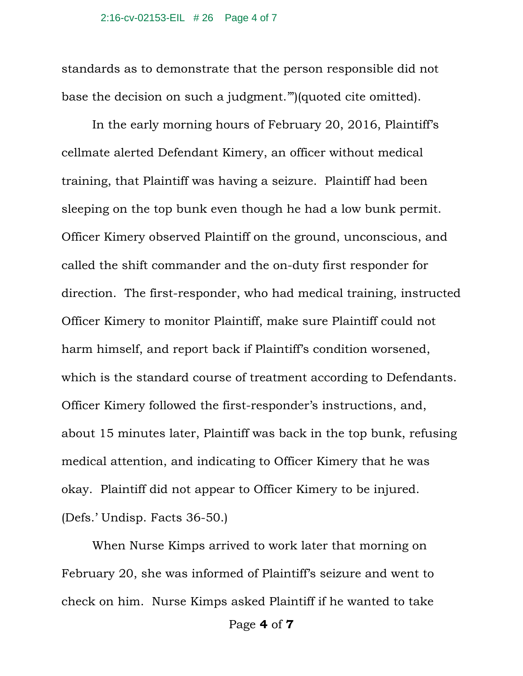standards as to demonstrate that the person responsible did not base the decision on such a judgment.'")(quoted cite omitted).

In the early morning hours of February 20, 2016, Plaintiff's cellmate alerted Defendant Kimery, an officer without medical training, that Plaintiff was having a seizure. Plaintiff had been sleeping on the top bunk even though he had a low bunk permit. Officer Kimery observed Plaintiff on the ground, unconscious, and called the shift commander and the on-duty first responder for direction. The first-responder, who had medical training, instructed Officer Kimery to monitor Plaintiff, make sure Plaintiff could not harm himself, and report back if Plaintiff's condition worsened, which is the standard course of treatment according to Defendants. Officer Kimery followed the first-responder's instructions, and, about 15 minutes later, Plaintiff was back in the top bunk, refusing medical attention, and indicating to Officer Kimery that he was okay. Plaintiff did not appear to Officer Kimery to be injured. (Defs.' Undisp. Facts 36-50.)

When Nurse Kimps arrived to work later that morning on February 20, she was informed of Plaintiff's seizure and went to check on him. Nurse Kimps asked Plaintiff if he wanted to take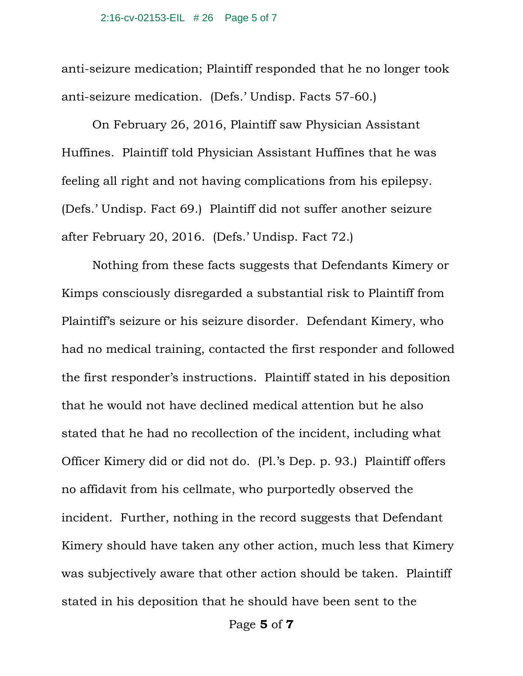anti-seizure medication; Plaintiff responded that he no longer took anti-seizure medication. (Defs.' Undisp. Facts 57-60.)

On February 26, 2016, Plaintiff saw Physician Assistant Huffines. Plaintiff told Physician Assistant Huffines that he was feeling all right and not having complications from his epilepsy. (Defs.' Undisp. Fact 69.) Plaintiff did not suffer another seizure after February 20, 2016. (Defs.' Undisp. Fact 72.)

Nothing from these facts suggests that Defendants Kimery or Kimps consciously disregarded a substantial risk to Plaintiff from Plaintiff's seizure or his seizure disorder. Defendant Kimery, who had no medical training, contacted the first responder and followed the first responder's instructions. Plaintiff stated in his deposition that he would not have declined medical attention but he also stated that he had no recollection of the incident, including what Officer Kimery did or did not do. (Pl.'s Dep. p. 93.) Plaintiff offers no affidavit from his cellmate, who purportedly observed the incident. Further, nothing in the record suggests that Defendant Kimery should have taken any other action, much less that Kimery was subjectively aware that other action should be taken. Plaintiff stated in his deposition that he should have been sent to the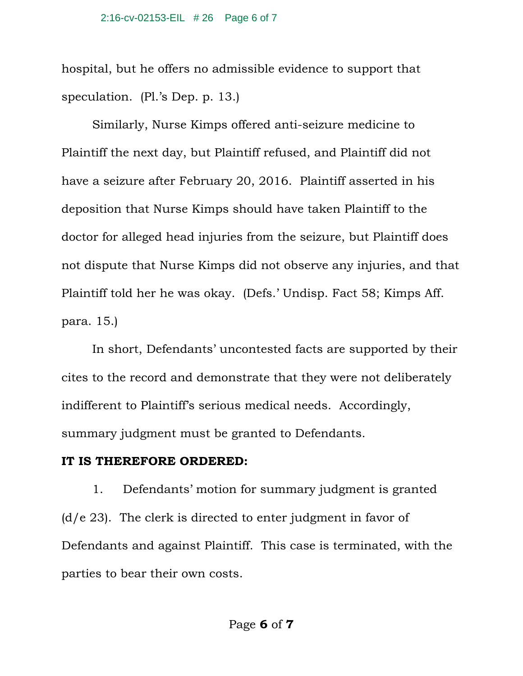hospital, but he offers no admissible evidence to support that speculation. (Pl.'s Dep. p. 13.)

Similarly, Nurse Kimps offered anti-seizure medicine to Plaintiff the next day, but Plaintiff refused, and Plaintiff did not have a seizure after February 20, 2016. Plaintiff asserted in his deposition that Nurse Kimps should have taken Plaintiff to the doctor for alleged head injuries from the seizure, but Plaintiff does not dispute that Nurse Kimps did not observe any injuries, and that Plaintiff told her he was okay. (Defs.' Undisp. Fact 58; Kimps Aff. para. 15.)

In short, Defendants' uncontested facts are supported by their cites to the record and demonstrate that they were not deliberately indifferent to Plaintiff's serious medical needs. Accordingly, summary judgment must be granted to Defendants.

## **IT IS THEREFORE ORDERED:**

1. Defendants' motion for summary judgment is granted  $(d/e 23)$ . The clerk is directed to enter judgment in favor of Defendants and against Plaintiff. This case is terminated, with the parties to bear their own costs.